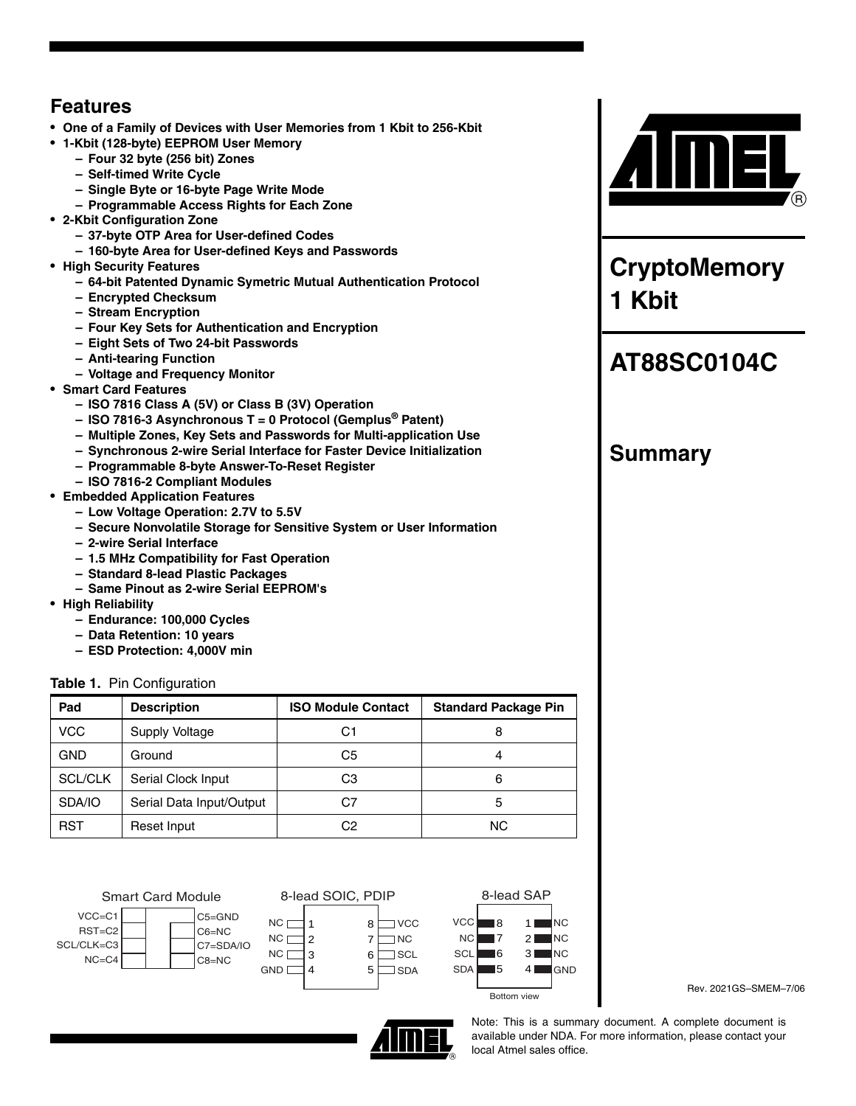## **Features**

- **One of a Family of Devices with User Memories from 1 Kbit to 256-Kbit**
- **1-Kbit (128-byte) EEPROM User Memory**
	- **Four 32 byte (256 bit) Zones**
	- **Self-timed Write Cycle**
	- **Single Byte or 16-byte Page Write Mode**
	- **Programmable Access Rights for Each Zone**
- **2-Kbit Configuration Zone**
	- **37-byte OTP Area for User-defined Codes**
	- **160-byte Area for User-defined Keys and Passwords**
- **High Security Features**
	- **64-bit Patented Dynamic Symetric Mutual Authentication Protocol**
	- **Encrypted Checksum**
	- **Stream Encryption**
	- **Four Key Sets for Authentication and Encryption**
	- **Eight Sets of Two 24-bit Passwords**
	- **Anti-tearing Function**
	- **Voltage and Frequency Monitor**
- **Smart Card Features**
	- **ISO 7816 Class A (5V) or Class B (3V) Operation**
	- **ISO 7816-3 Asynchronous T = 0 Protocol (Gemplus® Patent)**
	- **Multiple Zones, Key Sets and Passwords for Multi-application Use**
	- **Synchronous 2-wire Serial Interface for Faster Device Initialization**
	- **Programmable 8-byte Answer-To-Reset Register**
	- **ISO 7816-2 Compliant Modules**
- **Embedded Application Features**
	- **Low Voltage Operation: 2.7V to 5.5V**
	- **Secure Nonvolatile Storage for Sensitive System or User Information**
	- **2-wire Serial Interface**
	- **1.5 MHz Compatibility for Fast Operation**
	- **Standard 8-lead Plastic Packages**
	- **Same Pinout as 2-wire Serial EEPROM's**
- **High Reliability**
	- **Endurance: 100,000 Cycles**
	- **Data Retention: 10 years**
	- **ESD Protection: 4,000V min**

## **Table 1.** Pin Configuration

| Pad            | <b>Description</b>       | <b>ISO Module Contact</b> | <b>Standard Package Pin</b> |
|----------------|--------------------------|---------------------------|-----------------------------|
| <b>VCC</b>     | Supply Voltage           | C1                        | 8                           |
| GND            | Ground                   | C5                        | 4                           |
| <b>SCL/CLK</b> | Serial Clock Input       | CЗ                        | 6                           |
| SDA/IO         | Serial Data Input/Output | C7                        | 5                           |
| RST            | Reset Input              | C2                        | ΝC                          |







Rev. 2021GS–SMEM–7/06



Note: This is a summary document. A complete document is available under NDA. For more information, please contact your local [Atmel](https://www.cardlogix.com/product-category/sort-by-manufacturer/atmel-corporation-memory-cryptomemory-smart-cards/) sales office.



**CryptoMemory 1 Kbit**

# **[AT88SC0104C](https://www.cardlogix.com/product/atmel-at88sc0104c-me-mj-cryptomemory-smart-card/)**

## **Summary**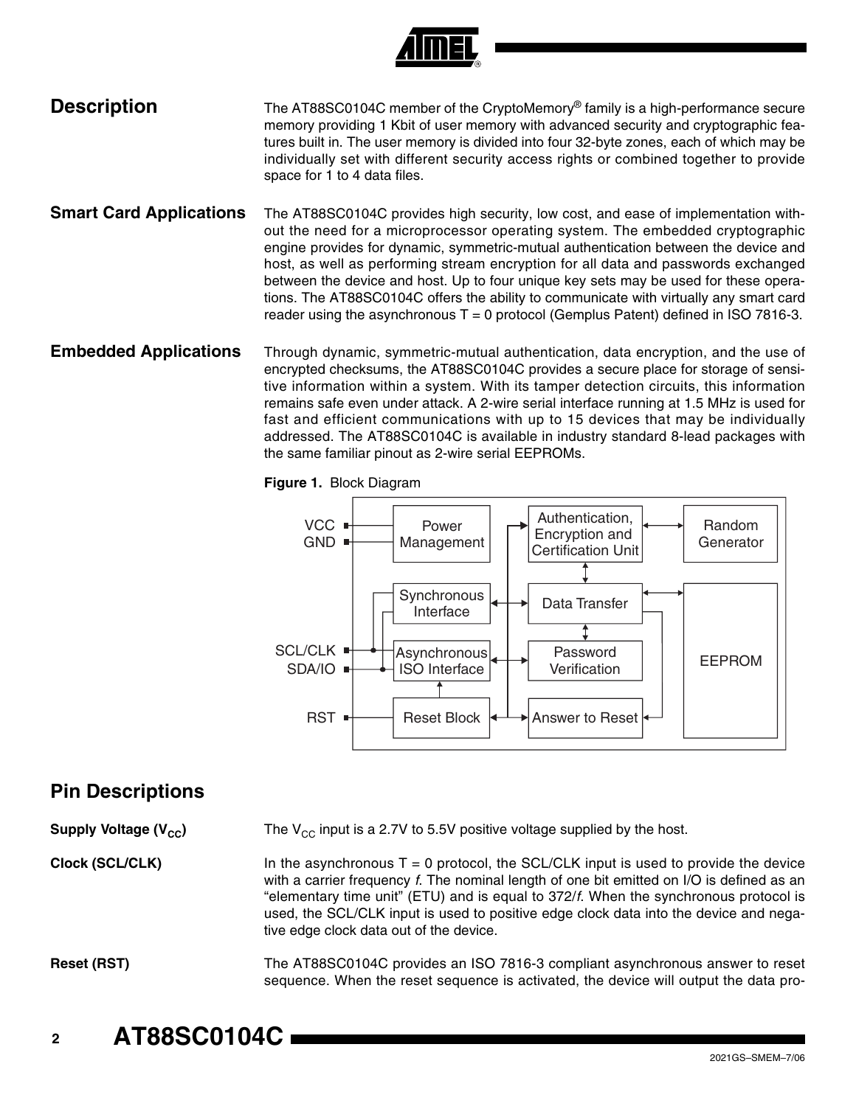

## **Description** [The AT88SC0104C member of the](https://www.cardlogix.com/product-category/smart-cards/memory-cards/protected-memory-cards/) CryptoMemory<sup>®</sup> [family is a high-performance secure](https://www.cardlogix.com/product-category/smart-cards/memory-cards/protected-memory-cards/) memory providing 1 Kbit of user memory with advanced security and cryptographic features built in. The user memory is divided into four 32-byte zones, each of which may be individually set with different security access rights or combined together to provide space for 1 to 4 data files.

- **Smart Card Applications** The AT88SC0104C provides high security, low cost, and ease of implementation without the need for a microprocessor operating system. The embedded cryptographic engine provides for dynamic, symmetric-mutual authentication between the device and host, as well as performing stream encryption for all data and passwords exchanged between the device and host. Up to four unique key sets may be used for these operations. The AT88SC0104C offers the ability to communicate with virtually any [smart card](https://www.cardlogix.com/product-category/smart-cards/) reader using the asynchronous  $T = 0$  protocol (Gemplus Patent) defined in ISO 7816-3.
- **Embedded Applications** Through dynamic, symmetric-mutual authentication, data encryption, and the use of encrypted checksums, the AT88SC0104C provides a secure place for storage of sensitive information within a system. With its tamper detection circuits, this information remains safe even under attack. A 2-wire serial interface running at 1.5 MHz is used for fast and efficient communications with up to 15 devices that may be individually addressed. The AT88SC0104C is available in industry standard 8-lead packages with the same familiar pinout as 2-wire serial EEPROMs.

**Figure 1.** Block Diagram



## **Pin Descriptions**

**Supply Voltage (V<sub>CC</sub>)** The V<sub>CC</sub> input is a 2.7V to 5.5V positive voltage supplied by the host.

**Clock (SCL/CLK)** In the asynchronous  $T = 0$  protocol, the SCL/CLK input is used to provide the device with a carrier frequency *f*. The nominal length of one bit emitted on I/O is defined as an "elementary time unit" (ETU) and is equal to 372/*f*. When the synchronous protocol is used, the SCL/CLK input is used to positive edge clock data into the device and negative edge clock data out of the device.

Reset (RST) The AT88SC0104C provides an ISO 7816-3 compliant asynchronous answer to reset sequence. When the reset sequence is activated, the device will output the data pro-

**<sup>2</sup> AT88SC0104C**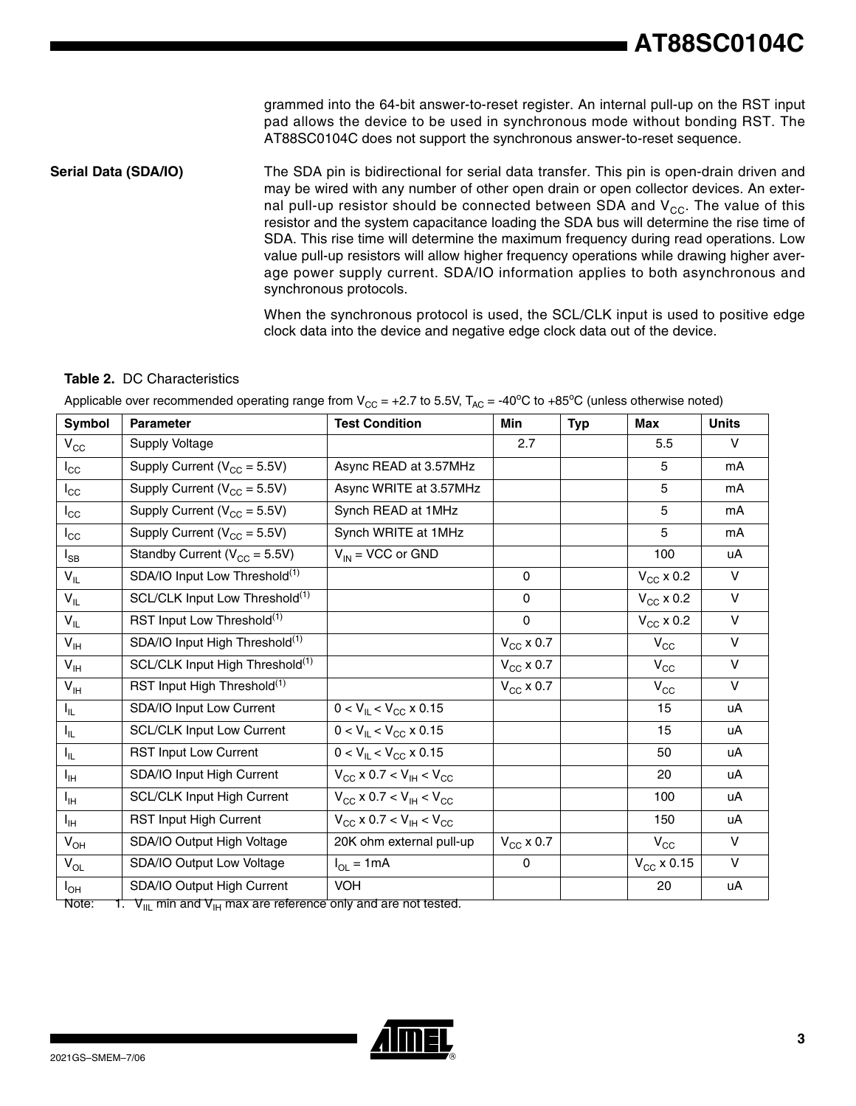grammed into the 64-bit answer-to-reset register. An internal pull-up on the RST input pad allows the device to be used in synchronous mode without bonding RST. The AT88SC0104C does not support the synchronous answer-to-reset sequence.

**Serial Data (SDA/IO)** The SDA pin is bidirectional for serial data transfer. This pin is open-drain driven and may be wired with any number of other open drain or open collector devices. An external pull-up resistor should be connected between SDA and  $V_{CC}$ . The value of this resistor and the system capacitance loading the SDA bus will determine the rise time of SDA. This rise time will determine the maximum frequency during read operations. Low value pull-up resistors will allow higher frequency operations while drawing higher average power supply current. SDA/IO information applies to both asynchronous and synchronous protocols.

> When the synchronous protocol is used, the SCL/CLK input is used to positive edge clock data into the device and negative edge clock data out of the device.

### **Table 2.** DC Characteristics

| Symbol                     | <b>Parameter</b>                            | <b>Test Condition</b>                      | <b>Min</b>         | <b>Typ</b> | <b>Max</b>                 | <b>Units</b> |
|----------------------------|---------------------------------------------|--------------------------------------------|--------------------|------------|----------------------------|--------------|
| $V_{\rm CC}$               | Supply Voltage                              |                                            | 2.7                |            | 5.5                        | $\vee$       |
| $I_{\rm CC}$               | Supply Current ( $V_{CC}$ = 5.5V)           | Async READ at 3.57MHz                      |                    |            | 5                          | mA           |
| $I_{\rm CC}$               | Supply Current ( $V_{CC}$ = 5.5V)           | Async WRITE at 3.57MHz                     |                    |            | 5                          | mA           |
| $I_{\rm CC}$               | Supply Current ( $V_{CC}$ = 5.5V)           | Synch READ at 1MHz                         |                    |            | 5                          | mA           |
| $I_{\rm CC}$               | Supply Current ( $V_{CC}$ = 5.5V)           | Synch WRITE at 1MHz                        |                    |            | 5                          | mA           |
| $I_{SB}$                   | Standby Current ( $V_{CC}$ = 5.5V)          | $V_{IN}$ = VCC or GND                      |                    |            | 100                        | uA           |
| $V_{IL}$                   | SDA/IO Input Low Threshold <sup>(1)</sup>   |                                            | 0                  |            | $V_{CC}$ x 0.2             | V            |
| $V_{IL}$                   | SCL/CLK Input Low Threshold <sup>(1)</sup>  |                                            | 0                  |            | $V_{CC}$ x 0.2             | $\vee$       |
| $V_{IL}$                   | RST Input Low Threshold <sup>(1)</sup>      |                                            | $\mathbf 0$        |            | $V_{CC}$ x 0.2             | $\vee$       |
| $V_{\text{IH}}$            | SDA/IO Input High Threshold <sup>(1)</sup>  |                                            | $V_{CC}$ x 0.7     |            | $V_{\rm CC}$               | $\vee$       |
| $V_{\text{IH}}$            | SCL/CLK Input High Threshold <sup>(1)</sup> |                                            | $V_{\rm CC}$ x 0.7 |            | $V_{\rm CC}$               | $\vee$       |
| $V_{\text{IH}}$            | RST Input High Threshold <sup>(1)</sup>     |                                            | $V_{CC}$ x 0.7     |            | $\mathsf{V}_{\mathsf{CC}}$ | $\vee$       |
| $I_{IL}$                   | SDA/IO Input Low Current                    | $0 < V_{\text{IL}} < V_{\text{CC}}$ x 0.15 |                    |            | 15                         | uA           |
| $I_{IL}$                   | <b>SCL/CLK Input Low Current</b>            | $0 < V_{\text{IL}} < V_{\text{CC}}$ x 0.15 |                    |            | 15                         | uA           |
| $I_{IL}$                   | <b>RST Input Low Current</b>                | $0 < V_{\text{IL}} < V_{\text{CC}}$ x 0.15 |                    |            | 50                         | uA           |
| $I_{\text{IH}}$            | SDA/IO Input High Current                   | $V_{CC}$ x 0.7 < $V_{IH}$ < $V_{CC}$       |                    |            | 20                         | uA           |
| $I_{\text{IH}}$            | <b>SCL/CLK Input High Current</b>           | $V_{CC}$ x 0.7 < $V_{IH}$ < $V_{CC}$       |                    |            | 100                        | uA           |
| $I_{\text{IH}}$            | <b>RST Input High Current</b>               | $V_{CG}$ x 0.7 < $V_{IH}$ < $V_{CG}$       |                    |            | 150                        | uA           |
| $V_{OH}$                   | SDA/IO Output High Voltage                  | 20K ohm external pull-up                   | $V_{\rm CC}$ x 0.7 |            | $V_{\rm CC}$               | $\vee$       |
| $\mathsf{V}_{\mathsf{OL}}$ | SDA/IO Output Low Voltage                   | $I_{OL} = 1mA$                             | 0                  |            | $V_{CC}$ x 0.15            | $\vee$       |
| $I_{OH}$                   | SDA/IO Output High Current                  | <b>VOH</b>                                 |                    |            | 20                         | uA           |

Applicable over recommended operating range from  $V_{CC}$  = +2.7 to 5.5V,  $T_{AC}$  = -40°C to +85°C (unless otherwise noted)

Note:  $1. \,$  V<sub>IIL</sub> min and V<sub>IH</sub> max are reference only and are not tested.

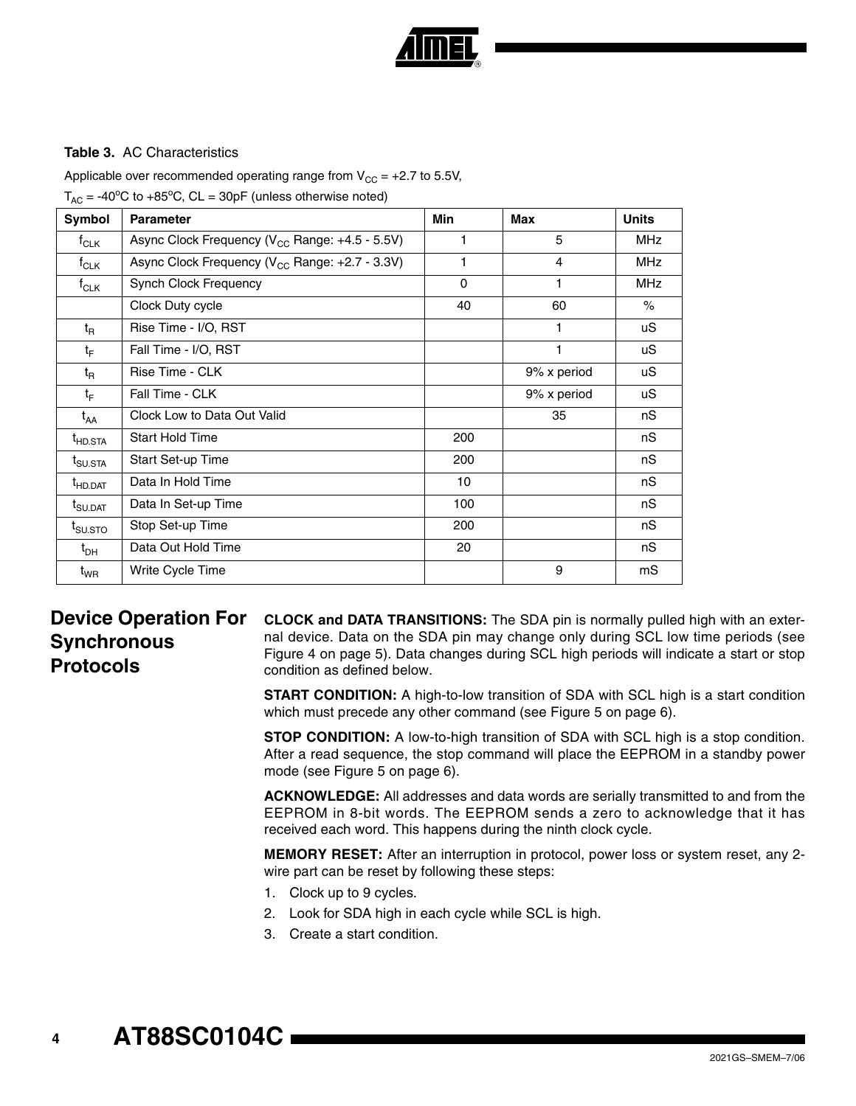

## **Table 3.** AC Characteristics

Applicable over recommended operating range from  $V_{CC} = +2.7$  to 5.5V,

 $T_{AC}$  = -40°C to +85°C, CL = 30pF (unless otherwise noted)

| Symbol                                           | <b>Parameter</b>                                           | Min | Max         | <b>Units</b> |
|--------------------------------------------------|------------------------------------------------------------|-----|-------------|--------------|
| $f_{CLK}$                                        | Async Clock Frequency (V <sub>CC</sub> Range: +4.5 - 5.5V) | 1   | 5           | <b>MHz</b>   |
| $f_{CLK}$                                        | Async Clock Frequency (V <sub>CC</sub> Range: +2.7 - 3.3V) | 1   | 4           | <b>MHz</b>   |
| $f_{CLK}$                                        | Synch Clock Frequency                                      | 0   | 1           | <b>MHz</b>   |
|                                                  | Clock Duty cycle                                           | 40  | 60          | $\%$         |
| $t_{\mathsf{R}}$                                 | Rise Time - I/O, RST                                       |     | 1           | uS           |
| $t_F$                                            | Fall Time - I/O, RST                                       |     | 1           | uS           |
| $t_{\mathsf{R}}$                                 | Rise Time - CLK                                            |     | 9% x period | uS           |
| $t_F$                                            | Fall Time - CLK                                            |     | 9% x period | uS           |
| $t_{AA}$                                         | Clock Low to Data Out Valid                                |     | 35          | nS           |
| <sup>t</sup> HD.STA                              | <b>Start Hold Time</b>                                     | 200 |             | nS           |
| $t_{\text{SUSTA}}$                               | Start Set-up Time                                          | 200 |             | nS           |
| <sup>t</sup> HD.DAT                              | Data In Hold Time                                          | 10  |             | nS           |
| $\mathsf{t}_{\mathsf{S}\mathsf{U}.\mathsf{DAT}}$ | Data In Set-up Time                                        | 100 |             | nS           |
| t <sub>su.sto</sub>                              | Stop Set-up Time                                           | 200 |             | nS           |
| $t_{\sf DH}$                                     | Data Out Hold Time                                         | 20  |             | nS           |
| $\mathfrak{t}_{\textsf{WR}}$                     | Write Cycle Time                                           |     | 9           | mS           |

## **Device Operation For Synchronous Protocols**

**CLOCK and DATA TRANSITIONS:** The SDA pin is normally pulled high with an external device. Data on the SDA pin may change only during SCL low time periods (see [Figure 4 on page 5](#page-4-0)). Data changes during SCL high periods will indicate a start or stop condition as defined below.

**START CONDITION:** A high-to-low transition of SDA with SCL high is a start condition which must precede any other command (see [Figure 5 on page 6\)](#page-5-0).

**STOP CONDITION:** A low-to-high transition of SDA with SCL high is a stop condition. After a read sequence, the stop command will place the EEPROM in a standby power mode (see [Figure 5 on page 6\)](#page-5-0).

**ACKNOWLEDGE:** All addresses and data words are serially transmitted to and from the EEPROM in 8-bit words. The EEPROM sends a zero to acknowledge that it has received each word. This happens during the ninth clock cycle.

**MEMORY RESET:** After an interruption in protocol, power loss or system reset, any 2 wire part can be reset by following these steps:

- 1. Clock up to 9 cycles.
- 2. Look for SDA high in each cycle while SCL is high.
- 3. Create a start condition.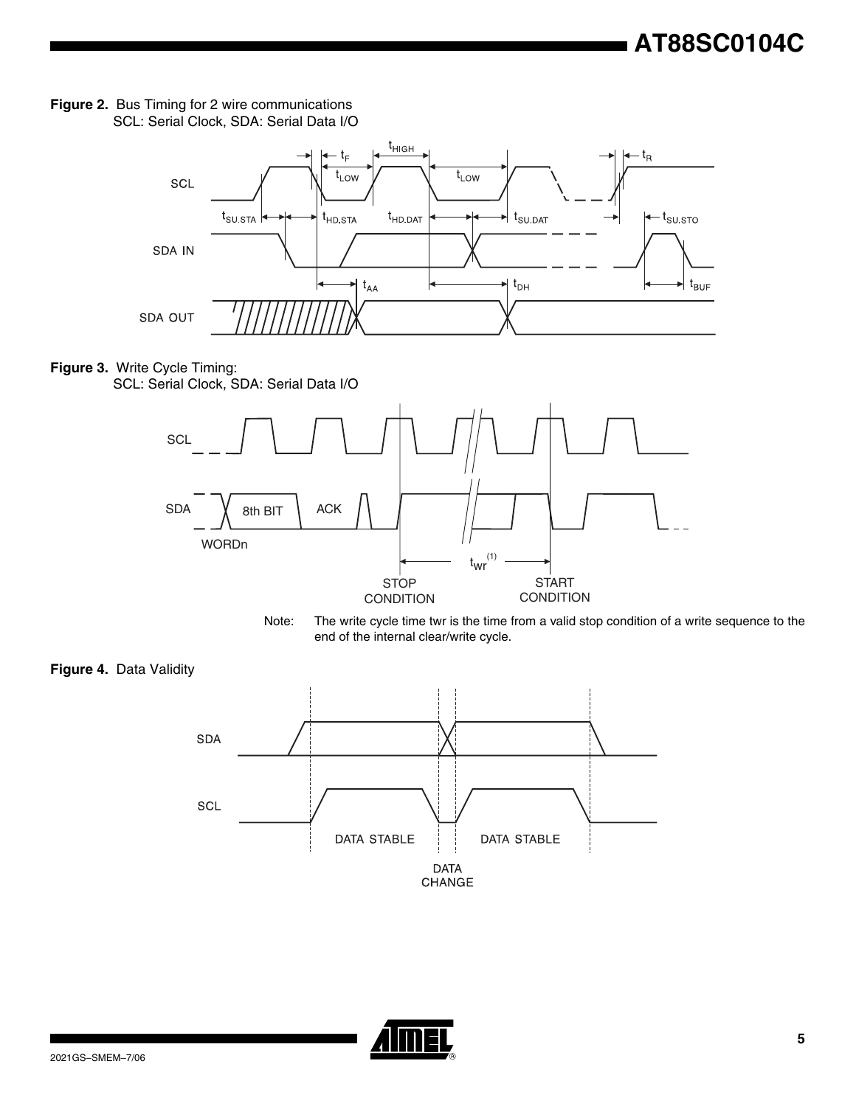



## **Figure 3.** Write Cycle Timing: SCL: Serial Clock, SDA: Serial Data I/O





<span id="page-4-0"></span>



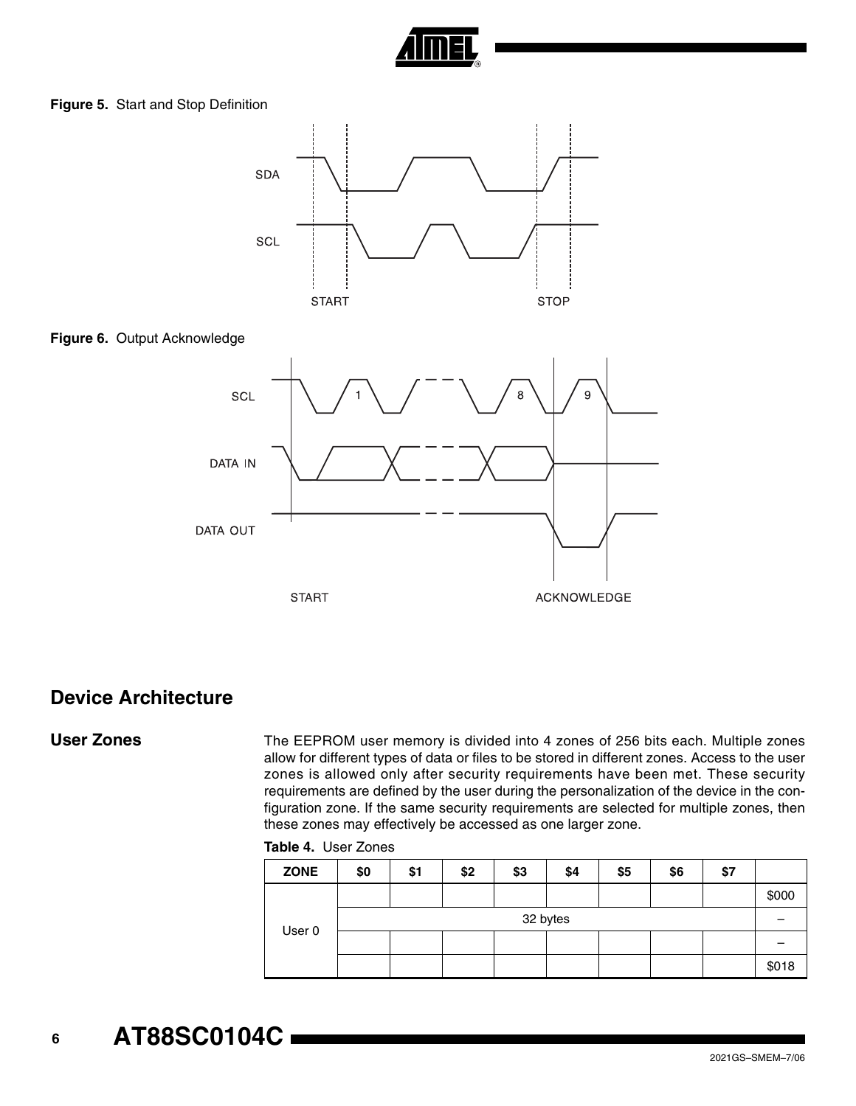

<span id="page-5-0"></span>**Figure 5.** Start and Stop Definition



## **Device Architecture**

User Zones The EEPROM user memory is divided into 4 zones of 256 bits each. Multiple zones allow for different types of data or files to be stored in different zones. Access to the user zones is allowed only after security requirements have been met. These security requirements are defined by the user during the personalization of the device in the configuration zone. If the same security requirements are selected for multiple zones, then these zones may effectively be accessed as one larger zone.

#### **Table 4.** User Zones

| <b>ZONE</b> | \$0      | \$1 | \$2 | \$3 | \$4 | \$5 | \$6 | \$7 |       |
|-------------|----------|-----|-----|-----|-----|-----|-----|-----|-------|
|             |          |     |     |     |     |     |     |     | \$000 |
|             | 32 bytes |     |     |     |     |     |     |     |       |
| User 0      |          |     |     |     |     |     |     |     |       |
|             |          |     |     |     |     |     |     |     | \$018 |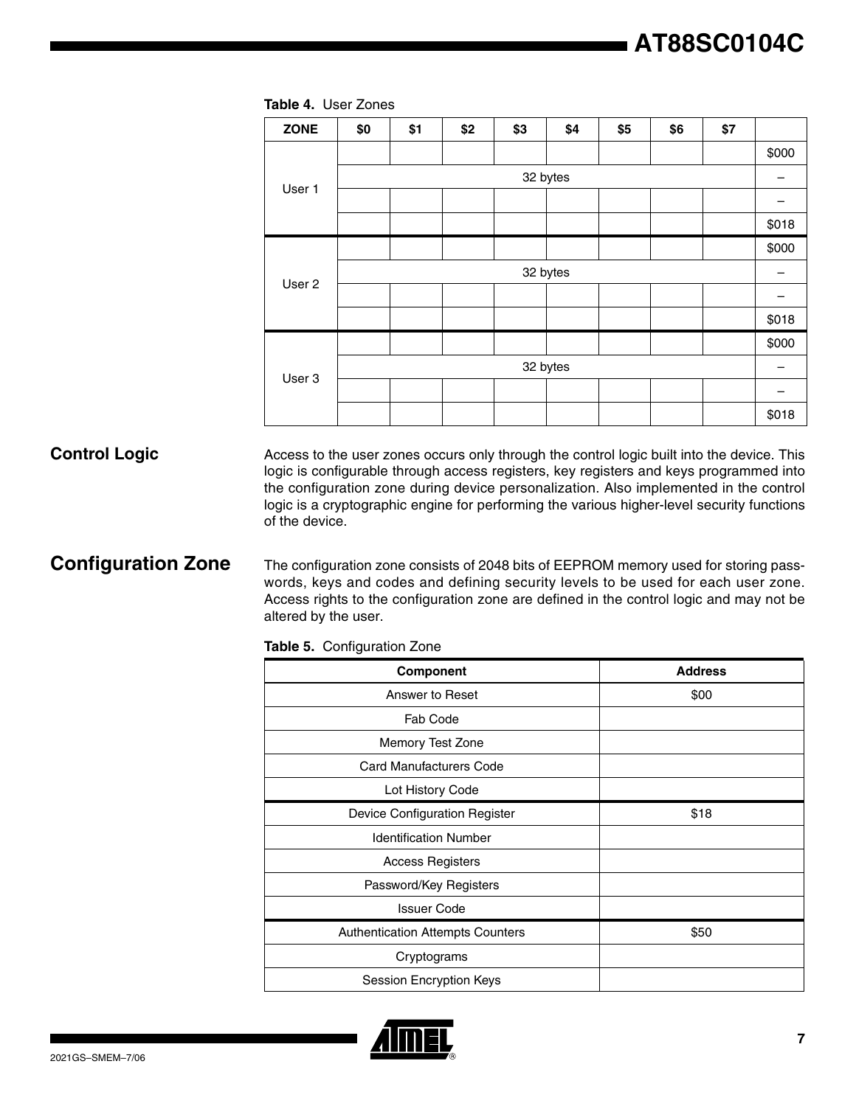| <b>ZONE</b>       | \$0      | \$1 | \$2 | \$3 | \$4      | \$5 | \$6 | \$7 |       |
|-------------------|----------|-----|-----|-----|----------|-----|-----|-----|-------|
|                   |          |     |     |     |          |     |     |     | \$000 |
|                   |          |     |     |     | 32 bytes |     |     |     |       |
| User 1            |          |     |     |     |          |     |     |     |       |
|                   |          |     |     |     |          |     |     |     | \$018 |
|                   |          |     |     |     |          |     |     |     | \$000 |
| User <sub>2</sub> | 32 bytes |     |     |     |          |     |     |     |       |
|                   |          |     |     |     |          |     |     |     |       |
|                   |          |     |     |     |          |     |     |     | \$018 |
| User 3            |          |     |     |     |          |     |     |     | \$000 |
|                   | 32 bytes |     |     |     |          |     |     |     |       |
|                   |          |     |     |     |          |     |     |     |       |
|                   |          |     |     |     |          |     |     |     | \$018 |

#### **Table 4.** User Zones

**Control Logic** Access to the user zones occurs only through the control logic built into the device. This logic is configurable through access registers, key registers and keys programmed into the configuration zone during device personalization. Also implemented in the control logic is a cryptographic engine for performing the various higher-level security functions of the device.

**Configuration Zone** The configuration zone consists of 2048 bits of EEPROM memory used for storing passwords, keys and codes and defining security levels to be used for each user zone. Access rights to the configuration zone are defined in the control logic and may not be altered by the user.

**Table 5.** Configuration Zone

| Component                               | <b>Address</b> |
|-----------------------------------------|----------------|
| Answer to Reset                         | \$00           |
| Fab Code                                |                |
| Memory Test Zone                        |                |
| <b>Card Manufacturers Code</b>          |                |
| Lot History Code                        |                |
| Device Configuration Register           | \$18           |
| <b>Identification Number</b>            |                |
| <b>Access Registers</b>                 |                |
| Password/Key Registers                  |                |
| <b>Issuer Code</b>                      |                |
| <b>Authentication Attempts Counters</b> | \$50           |
| Cryptograms                             |                |
| Session Encryption Keys                 |                |

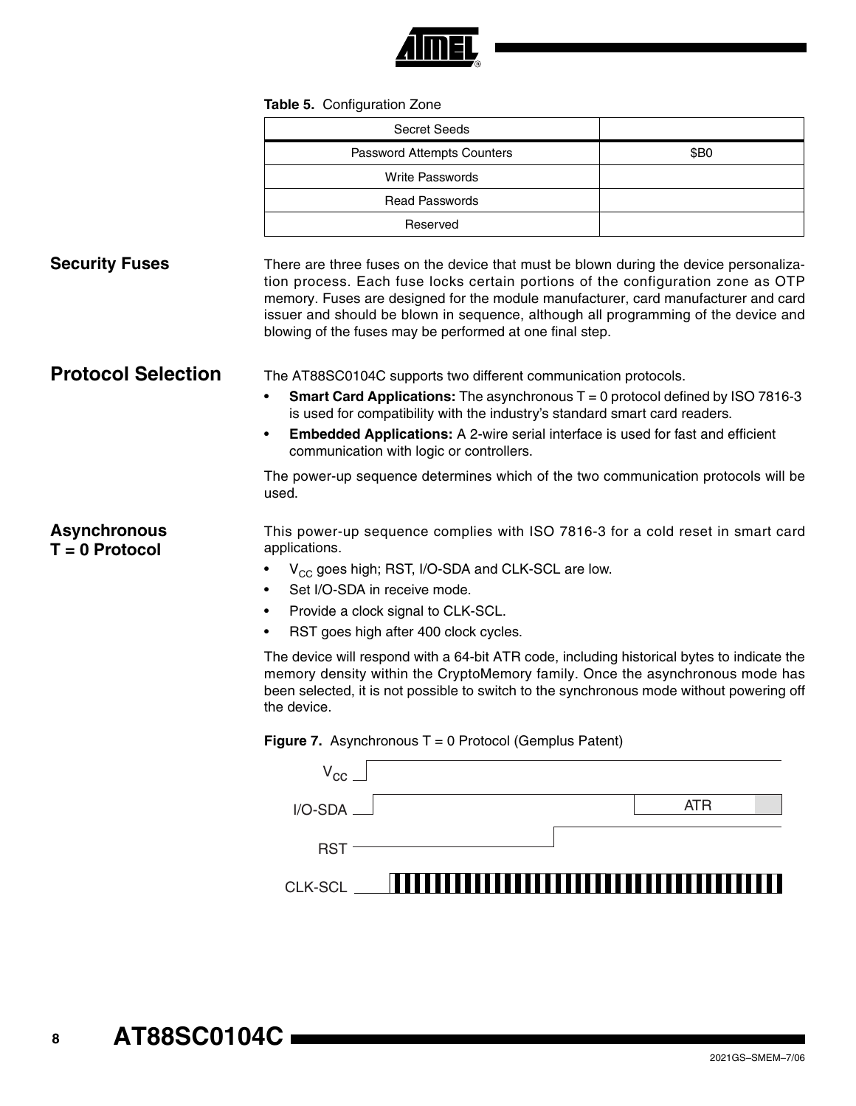

## **Table 5. Configuration Zone**

|                                         | <b>Table J.</b> Odiniyuration Lond                                                                                                                                                                                                                                                                                                                                                                               |                            |  |  |  |  |
|-----------------------------------------|------------------------------------------------------------------------------------------------------------------------------------------------------------------------------------------------------------------------------------------------------------------------------------------------------------------------------------------------------------------------------------------------------------------|----------------------------|--|--|--|--|
|                                         | <b>Secret Seeds</b>                                                                                                                                                                                                                                                                                                                                                                                              |                            |  |  |  |  |
|                                         | Password Attempts Counters                                                                                                                                                                                                                                                                                                                                                                                       | \$B0                       |  |  |  |  |
|                                         | <b>Write Passwords</b>                                                                                                                                                                                                                                                                                                                                                                                           |                            |  |  |  |  |
|                                         | <b>Read Passwords</b>                                                                                                                                                                                                                                                                                                                                                                                            |                            |  |  |  |  |
|                                         | Reserved                                                                                                                                                                                                                                                                                                                                                                                                         |                            |  |  |  |  |
| <b>Security Fuses</b>                   | There are three fuses on the device that must be blown during the device personaliza-<br>tion process. Each fuse locks certain portions of the configuration zone as OTP<br>memory. Fuses are designed for the module manufacturer, card manufacturer and card<br>issuer and should be blown in sequence, although all programming of the device and<br>blowing of the fuses may be performed at one final step. |                            |  |  |  |  |
| <b>Protocol Selection</b>               | The AT88SC0104C supports two different communication protocols.                                                                                                                                                                                                                                                                                                                                                  |                            |  |  |  |  |
|                                         | <b>Smart Card Applications:</b> The asynchronous $T = 0$ protocol defined by ISO 7816-3<br>$\bullet$<br>is used for compatibility with the industry's standard smart card readers.                                                                                                                                                                                                                               |                            |  |  |  |  |
|                                         | Embedded Applications: A 2-wire serial interface is used for fast and efficient<br>٠<br>communication with logic or controllers.                                                                                                                                                                                                                                                                                 |                            |  |  |  |  |
|                                         | The power-up sequence determines which of the two communication protocols will be<br>used.                                                                                                                                                                                                                                                                                                                       |                            |  |  |  |  |
| <b>Asynchronous</b><br>$T = 0$ Protocol | This power-up sequence complies with ISO 7816-3 for a cold reset in smart card<br>applications.                                                                                                                                                                                                                                                                                                                  |                            |  |  |  |  |
|                                         | V <sub>CC</sub> goes high; RST, I/O-SDA and CLK-SCL are low.                                                                                                                                                                                                                                                                                                                                                     |                            |  |  |  |  |
|                                         | Set I/O-SDA in receive mode.                                                                                                                                                                                                                                                                                                                                                                                     |                            |  |  |  |  |
|                                         | Provide a clock signal to CLK-SCL.<br>٠                                                                                                                                                                                                                                                                                                                                                                          |                            |  |  |  |  |
|                                         | RST goes high after 400 clock cycles.                                                                                                                                                                                                                                                                                                                                                                            |                            |  |  |  |  |
|                                         | The device will respond with a 64-bit ATR code, including historical bytes to indicate the<br>memory density within the CryptoMemory family. Once the asynchronous mode has<br>been selected, it is not possible to switch to the synchronous mode without powering off<br>the device.                                                                                                                           |                            |  |  |  |  |
|                                         | <b>Figure 7.</b> Asynchronous $T = 0$ Protocol (Gemplus Patent)                                                                                                                                                                                                                                                                                                                                                  |                            |  |  |  |  |
|                                         | $V_{\text{CC}}$                                                                                                                                                                                                                                                                                                                                                                                                  |                            |  |  |  |  |
|                                         | I/O-SDA                                                                                                                                                                                                                                                                                                                                                                                                          | <b>ATR</b>                 |  |  |  |  |
|                                         | <b>RST</b>                                                                                                                                                                                                                                                                                                                                                                                                       |                            |  |  |  |  |
|                                         | <b>CLK-SCL</b>                                                                                                                                                                                                                                                                                                                                                                                                   | ,,,,,,,,,,,,,,,,,,,,,,,,,, |  |  |  |  |
|                                         |                                                                                                                                                                                                                                                                                                                                                                                                                  |                            |  |  |  |  |
|                                         |                                                                                                                                                                                                                                                                                                                                                                                                                  |                            |  |  |  |  |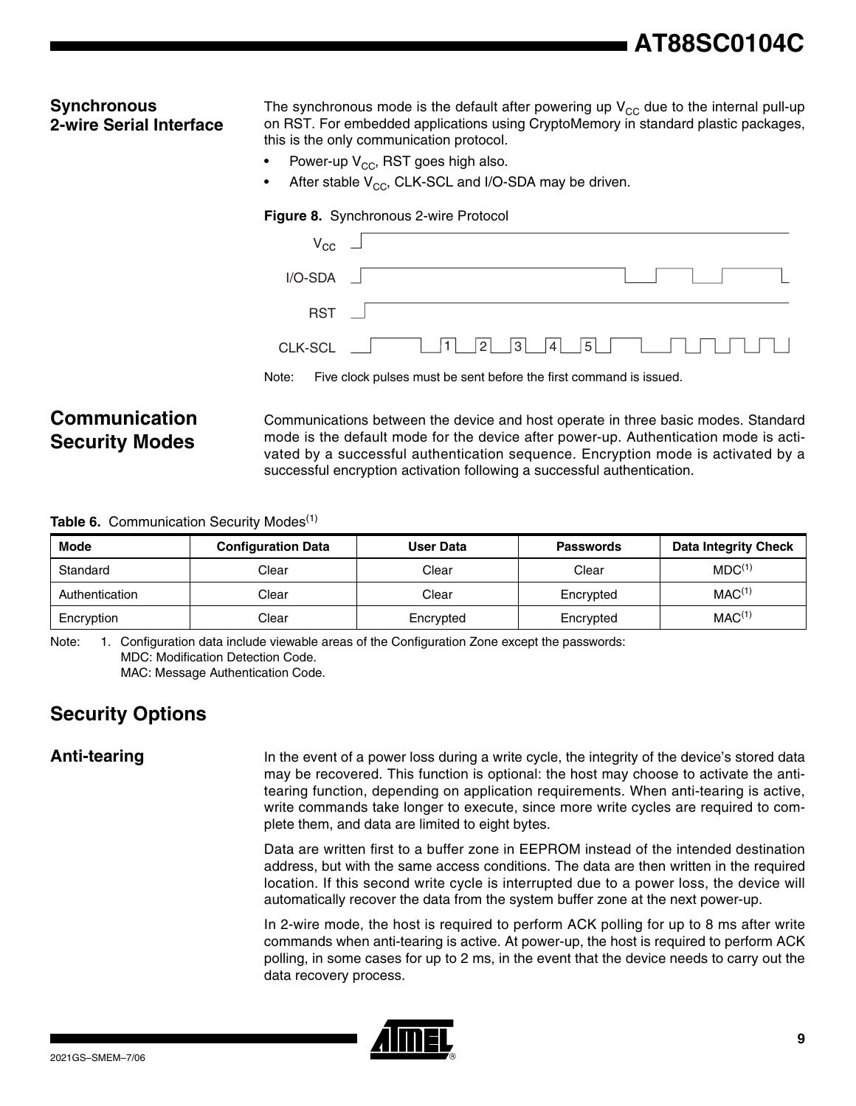# **AT88SC0104C**

## **Synchronous 2-wire Serial Interface**

The synchronous mode is the default after powering up  $V_{CC}$  due to the internal pull-up on RST. For embedded applications using CryptoMemory in standard plastic packages, this is the only communication protocol.

- Power-up  $V_{CC}$ , RST goes high also.
- After stable  $V_{CC}$ , CLK-SCL and I/O-SDA may be driven.

### **Figure 8.** Synchronous 2-wire Protocol

|                  | $V_{\text{CC}}$ $\Box$                                             |
|------------------|--------------------------------------------------------------------|
| $I/O-SDA$ $\Box$ |                                                                    |
| $RST$ $\Box$     |                                                                    |
|                  |                                                                    |
| Note:            | Five clock pulses must be sent before the first command is issued. |

## **Communication Security Modes**

Communications between the device and host operate in three basic modes. Standard mode is the default mode for the device after power-up. Authentication mode is activated by a successful authentication sequence. Encryption mode is activated by a successful encryption activation following a successful authentication.

## **Table 6.** Communication Security Modes<sup>(1)</sup>

| Mode           | <b>Configuration Data</b> | User Data | <b>Passwords</b> | <b>Data Integrity Check</b> |
|----------------|---------------------------|-----------|------------------|-----------------------------|
| Standard       | Clear                     | Clear     | Clear            | MDC <sup>(1)</sup>          |
| Authentication | Clear                     | Clear     | Encrypted        | MAC <sup>(1)</sup>          |
| Encryption     | Clear                     | Encrypted | Encrypted        | MAC <sup>(1)</sup>          |

Note: 1. Configuration data include viewable areas of the Configuration Zone except the passwords: MDC: Modification Detection Code. MAC: Message Authentication Code.

## **Security Options**

**Anti-tearing** In the event of a power loss during a write cycle, the integrity of the device's stored data may be recovered. This function is optional: the host may choose to activate the antitearing function, depending on application requirements. When anti-tearing is active, write commands take longer to execute, since more write cycles are required to complete them, and data are limited to eight bytes.

> Data are written first to a buffer zone in EEPROM instead of the intended destination address, but with the same access conditions. The data are then written in the required location. If this second write cycle is interrupted due to a power loss, the device will automatically recover the data from the system buffer zone at the next power-up.

> In 2-wire mode, the host is required to perform ACK polling for up to 8 ms after write commands when anti-tearing is active. At power-up, the host is required to perform ACK polling, in some cases for up to 2 ms, in the event that the device needs to carry out the data recovery process.

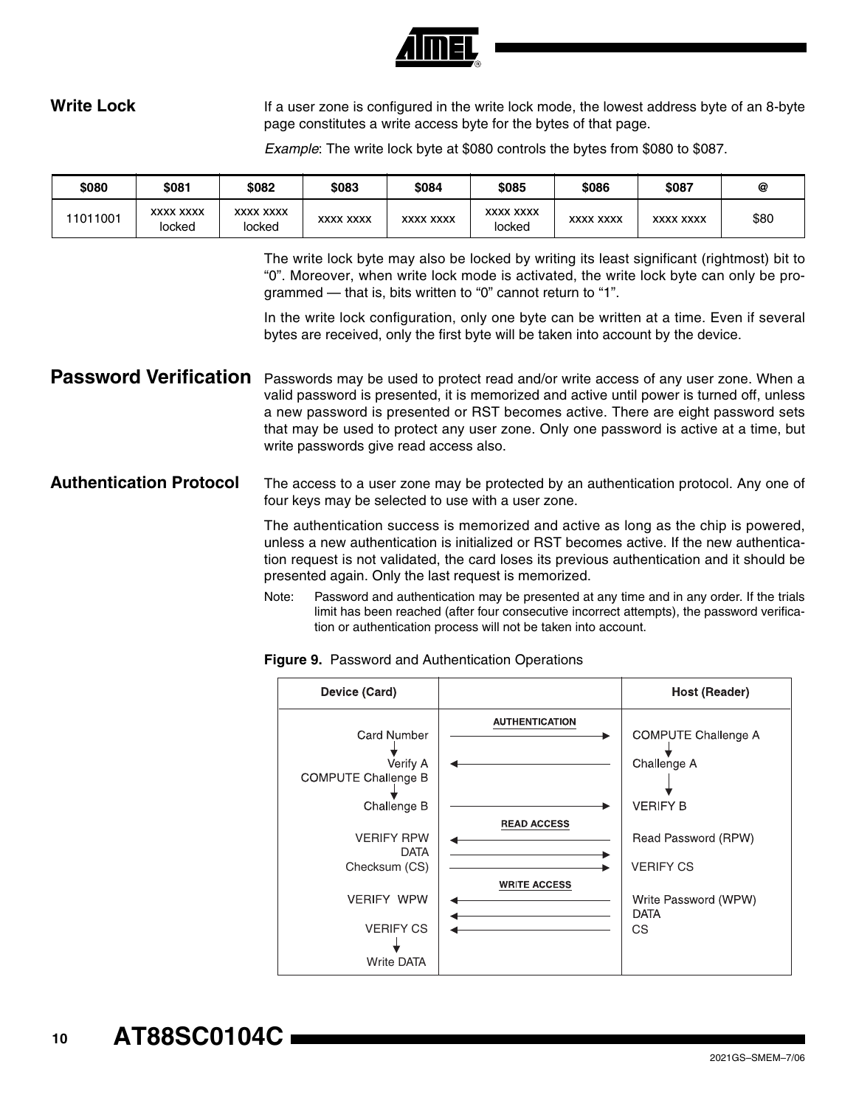

Write Lock **If a user zone is configured in the write lock mode**, the lowest address byte of an 8-byte page constitutes a write access byte for the bytes of that page.

*Example*: The write lock byte at \$080 controls the bytes from \$080 to \$087.

| \$080    | \$081                      | \$082                      | \$083            | \$084            | \$085                      | \$086            | \$087            | @    |
|----------|----------------------------|----------------------------|------------------|------------------|----------------------------|------------------|------------------|------|
| 11011001 | <b>XXXX XXXX</b><br>locked | <b>XXXX XXXX</b><br>locked | <b>XXXX XXXX</b> | <b>XXXX XXXX</b> | <b>XXXX XXXX</b><br>locked | <b>XXXX XXXX</b> | <b>XXXX XXXX</b> | \$80 |

The write lock byte may also be locked by writing its least significant (rightmost) bit to "0". Moreover, when write lock mode is activated, the write lock byte can only be programmed — that is, bits written to "0" cannot return to "1".

In the write lock configuration, only one byte can be written at a time. Even if several bytes are received, only the first byte will be taken into account by the device.

Password Verification Passwords may be used to protect read and/or write access of any user zone. When a valid password is presented, it is memorized and active until power is turned off, unless a new password is presented or RST becomes active. There are eight password sets that may be used to protect any user zone. Only one password is active at a time, but write passwords give read access also.

**Authentication Protocol** The access to a user zone may be protected by an authentication protocol. Any one of four keys may be selected to use with a user zone.

> The authentication success is memorized and active as long as the chip is powered, unless a new authentication is initialized or RST becomes active. If the new authentication request is not validated, the card loses its previous authentication and it should be presented again. Only the last request is memorized.

> Note: Password and authentication may be presented at any time and in any order. If the trials limit has been reached (after four consecutive incorrect attempts), the password verification or authentication process will not be taken into account.

**Figure 9.** Password and Authentication Operations

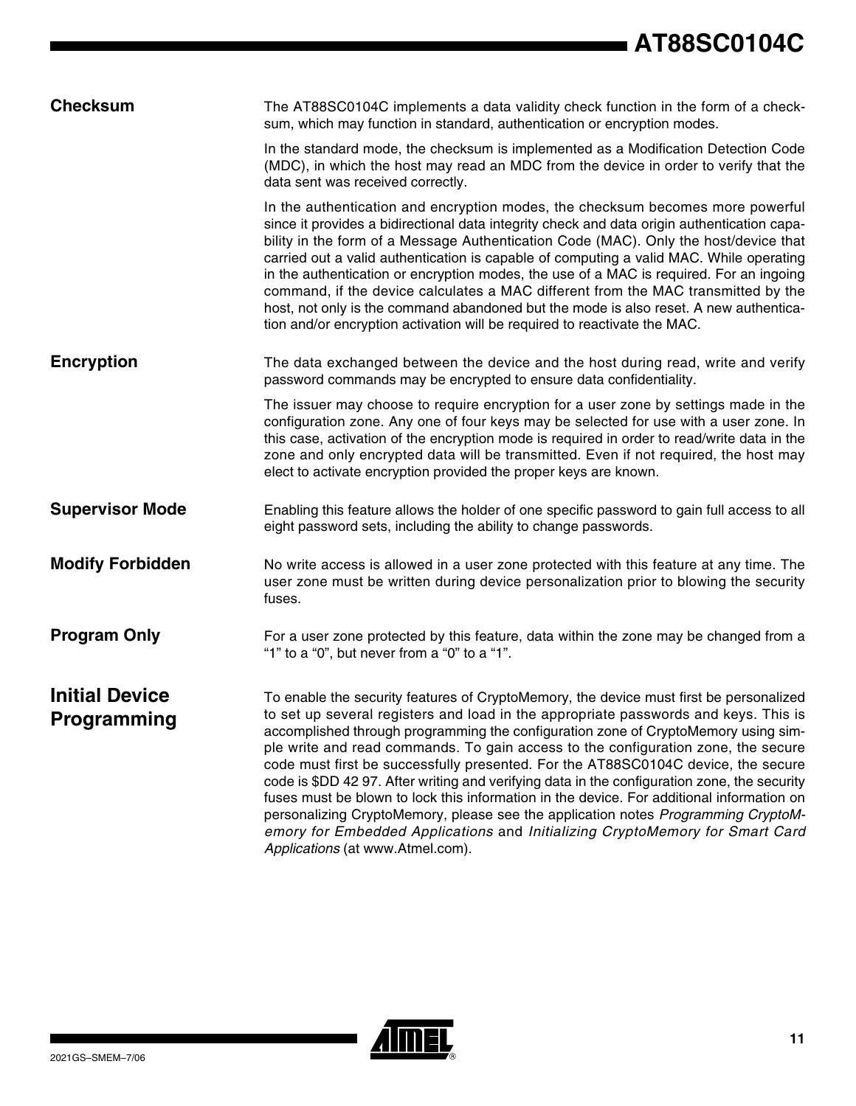| <b>Checksum</b>                             | The AT88SC0104C implements a data validity check function in the form of a check-<br>sum, which may function in standard, authentication or encryption modes.                                                                                                                                                                                                                                                                                                                                                                                                                                                                                                                                                                                                                                                                                       |
|---------------------------------------------|-----------------------------------------------------------------------------------------------------------------------------------------------------------------------------------------------------------------------------------------------------------------------------------------------------------------------------------------------------------------------------------------------------------------------------------------------------------------------------------------------------------------------------------------------------------------------------------------------------------------------------------------------------------------------------------------------------------------------------------------------------------------------------------------------------------------------------------------------------|
|                                             | In the standard mode, the checksum is implemented as a Modification Detection Code<br>(MDC), in which the host may read an MDC from the device in order to verify that the<br>data sent was received correctly.                                                                                                                                                                                                                                                                                                                                                                                                                                                                                                                                                                                                                                     |
|                                             | In the authentication and encryption modes, the checksum becomes more powerful<br>since it provides a bidirectional data integrity check and data origin authentication capa-<br>bility in the form of a Message Authentication Code (MAC). Only the host/device that<br>carried out a valid authentication is capable of computing a valid MAC. While operating<br>in the authentication or encryption modes, the use of a MAC is required. For an ingoing<br>command, if the device calculates a MAC different from the MAC transmitted by the<br>host, not only is the command abandoned but the mode is also reset. A new authentica-<br>tion and/or encryption activation will be required to reactivate the MAC.                                                                                                                              |
| <b>Encryption</b>                           | The data exchanged between the device and the host during read, write and verify<br>password commands may be encrypted to ensure data confidentiality.                                                                                                                                                                                                                                                                                                                                                                                                                                                                                                                                                                                                                                                                                              |
|                                             | The issuer may choose to require encryption for a user zone by settings made in the<br>configuration zone. Any one of four keys may be selected for use with a user zone. In<br>this case, activation of the encryption mode is required in order to read/write data in the<br>zone and only encrypted data will be transmitted. Even if not required, the host may<br>elect to activate encryption provided the proper keys are known.                                                                                                                                                                                                                                                                                                                                                                                                             |
| <b>Supervisor Mode</b>                      | Enabling this feature allows the holder of one specific password to gain full access to all<br>eight password sets, including the ability to change passwords.                                                                                                                                                                                                                                                                                                                                                                                                                                                                                                                                                                                                                                                                                      |
| <b>Modify Forbidden</b>                     | No write access is allowed in a user zone protected with this feature at any time. The<br>user zone must be written during device personalization prior to blowing the security<br>fuses.                                                                                                                                                                                                                                                                                                                                                                                                                                                                                                                                                                                                                                                           |
| <b>Program Only</b>                         | For a user zone protected by this feature, data within the zone may be changed from a<br>"1" to a "0", but never from a "0" to a "1".                                                                                                                                                                                                                                                                                                                                                                                                                                                                                                                                                                                                                                                                                                               |
| <b>Initial Device</b><br><b>Programming</b> | To enable the security features of CryptoMemory, the device must first be personalized<br>to set up several registers and load in the appropriate passwords and keys. This is<br>accomplished through programming the configuration zone of CryptoMemory using sim-<br>ple write and read commands. To gain access to the configuration zone, the secure<br>code must first be successfully presented. For the AT88SC0104C device, the secure<br>code is \$DD 42 97. After writing and verifying data in the configuration zone, the security<br>fuses must be blown to lock this information in the device. For additional information on<br>personalizing CryptoMemory, please see the application notes Programming CryptoM-<br>emory for Embedded Applications and Initializing CryptoMemory for Smart Card<br>Applications (at www.Atmel.com). |

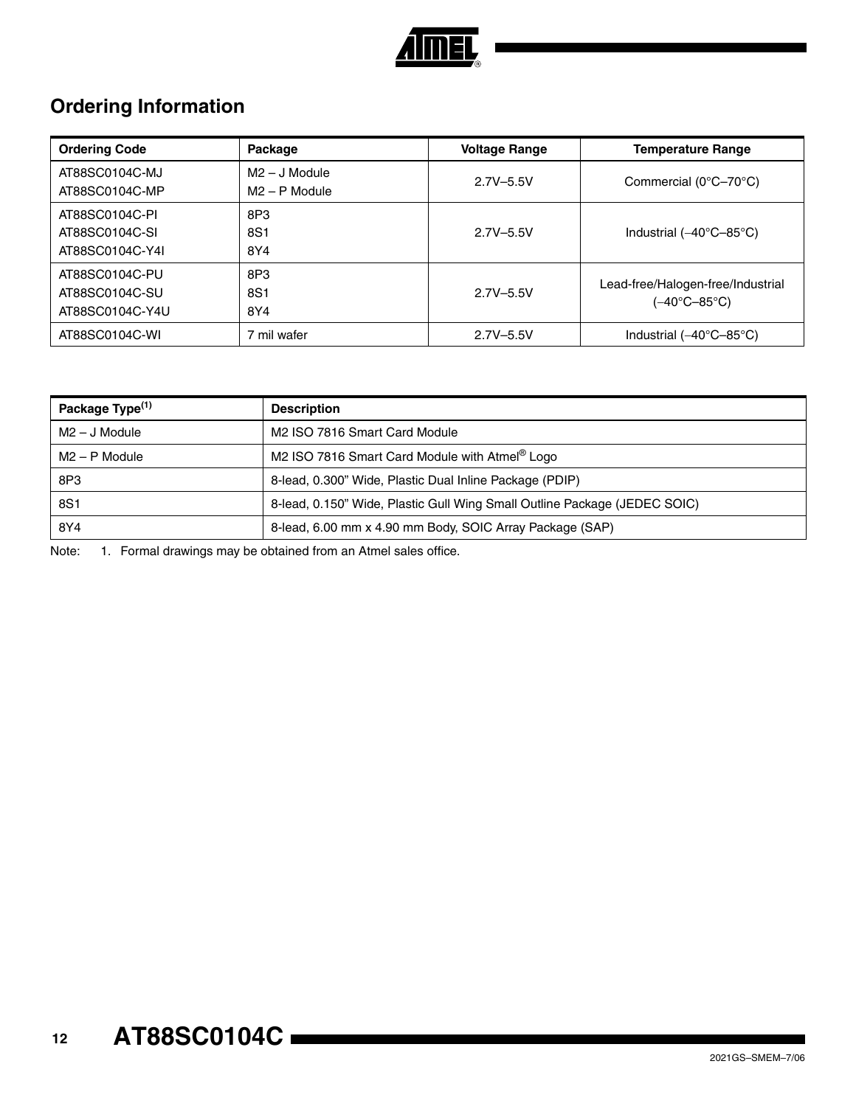

# **Ordering Information**

| <b>Ordering Code</b>                                | Package                            | <b>Voltage Range</b> | <b>Temperature Range</b>                          |
|-----------------------------------------------------|------------------------------------|----------------------|---------------------------------------------------|
| AT88SC0104C-MJ<br>AT88SC0104C-MP                    | $M2 - J$ Module<br>$M2 - P$ Module | $2.7V - 5.5V$        | Commercial $(0^{\circ}C - 70^{\circ}C)$           |
| AT88SC0104C-PI<br>AT88SC0104C-SI<br>AT88SC0104C-Y4I | 8P3<br>8S1<br>8Y4                  | $2.7V - 5.5V$        | Industrial $(-40^{\circ}C - 85^{\circ}C)$         |
| AT88SC0104C-PU<br>AT88SC0104C-SU<br>AT88SC0104C-Y4U | 8P3<br>8S1<br>8Y4                  | $2.7V - 5.5V$        | Lead-free/Halogen-free/Industrial<br>(–40°C–85°C) |
| AT88SC0104C-WI                                      | 7 mil wafer                        | $2.7V - 5.5V$        | Industrial $(-40^{\circ}C - 85^{\circ}C)$         |

| Package Type <sup>(1)</sup> | <b>Description</b>                                                        |
|-----------------------------|---------------------------------------------------------------------------|
| $M2 - J$ Module             | M2 ISO 7816 Smart Card Module                                             |
| $M2 - P$ Module             | M2 ISO 7816 Smart Card Module with Atmel <sup>®</sup> Logo                |
| 8P3                         | 8-lead, 0.300" Wide, Plastic Dual Inline Package (PDIP)                   |
| 8S1                         | 8-lead, 0.150" Wide, Plastic Gull Wing Small Outline Package (JEDEC SOIC) |
| 8Y4                         | 8-lead, 6.00 mm x 4.90 mm Body, SOIC Array Package (SAP)                  |

Note: 1. Formal drawings may be obtained from an Atmel sales office.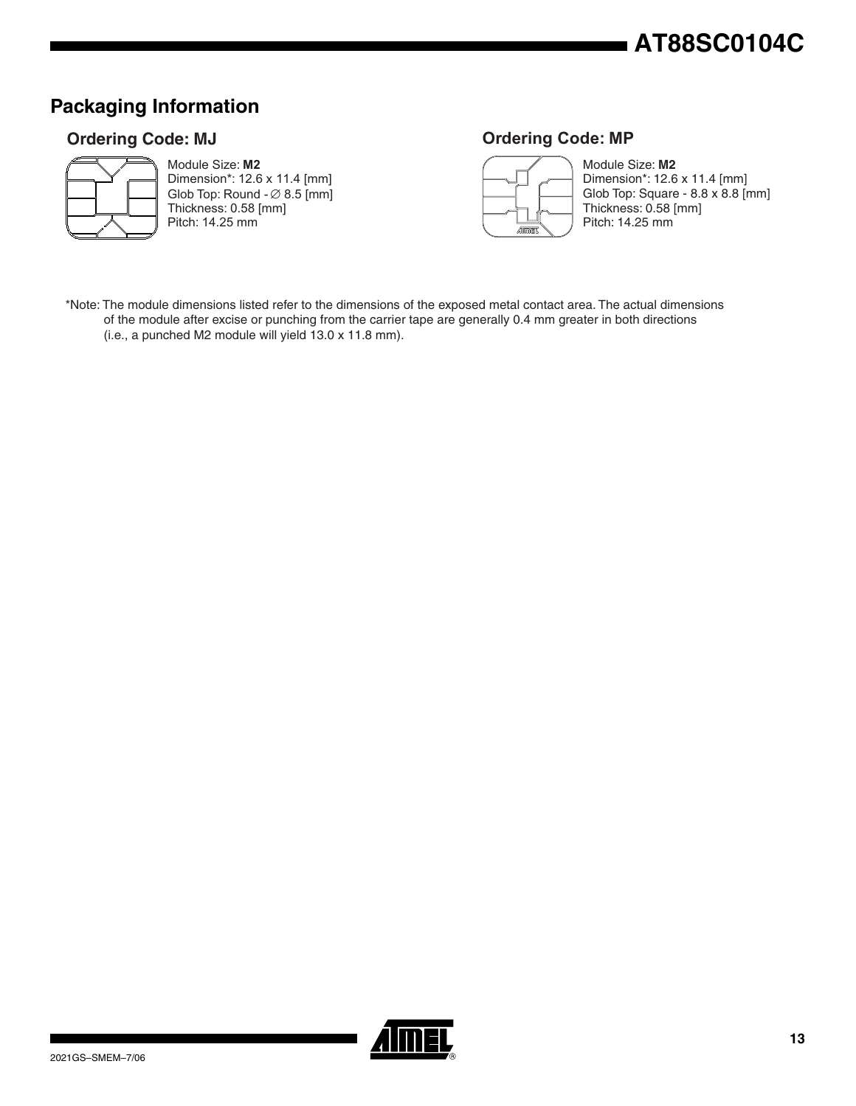# **AT88SC0104C**

## **Packaging Information**

## **Ordering Code: MJ**



Module Size: **M2** Dimension\*: 12.6 x 11.4 [mm] Glob Top: Round  $\varnothing$  8.5 [mm] Thickness: 0.58 [mm]

Pitch: 14.25 mm

## **Ordering Code: MP**



Module Size: **M2** Dimension\*: 12.6 x 11.4 [mm] Glob Top: Square - 8.8 x 8.8 [mm] Thickness: 0.58 [mm] Pitch: 14.25 mm

\*Note: The module dimensions listed refer to the dimensions of the exposed metal contact area. The actual dimensions of the module after excise or punching from the carrier tape are generally 0.4 mm greater in both directions (i.e., a punched M2 module will yield 13.0 x 11.8 mm).

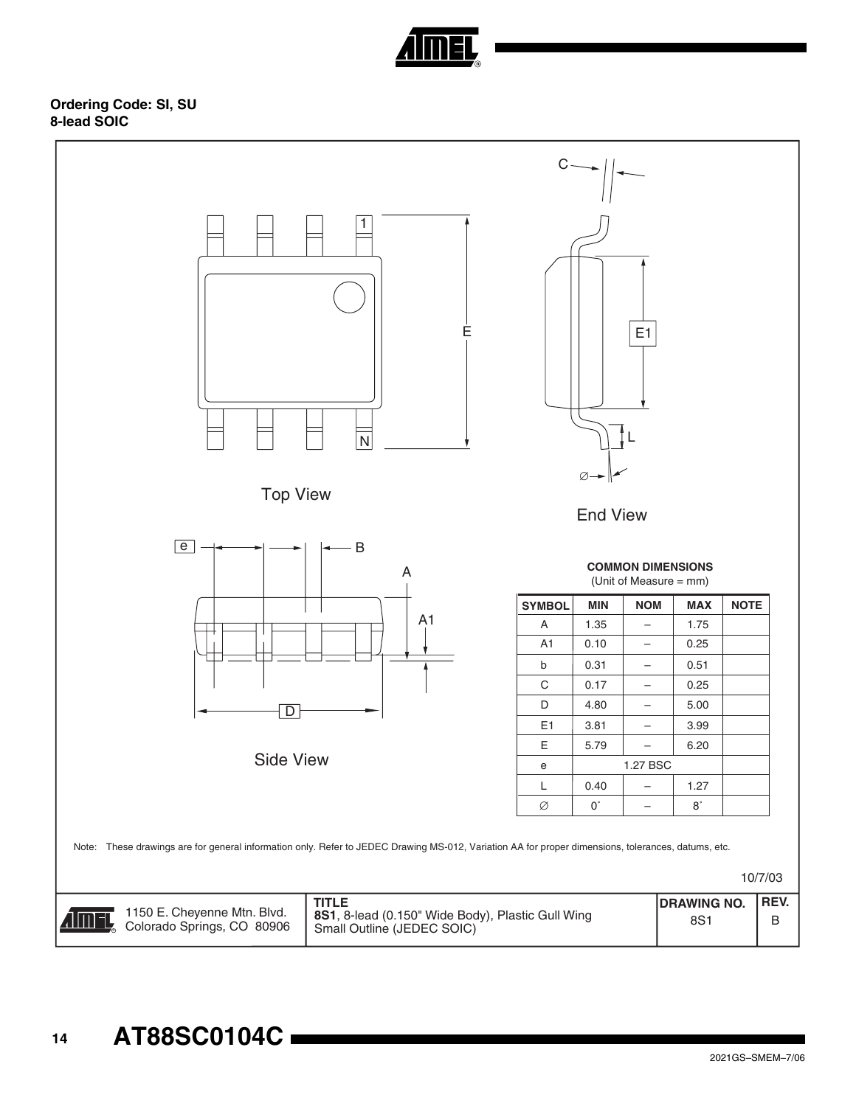

**Ordering Code: SI, SU 8-lead SOIC**

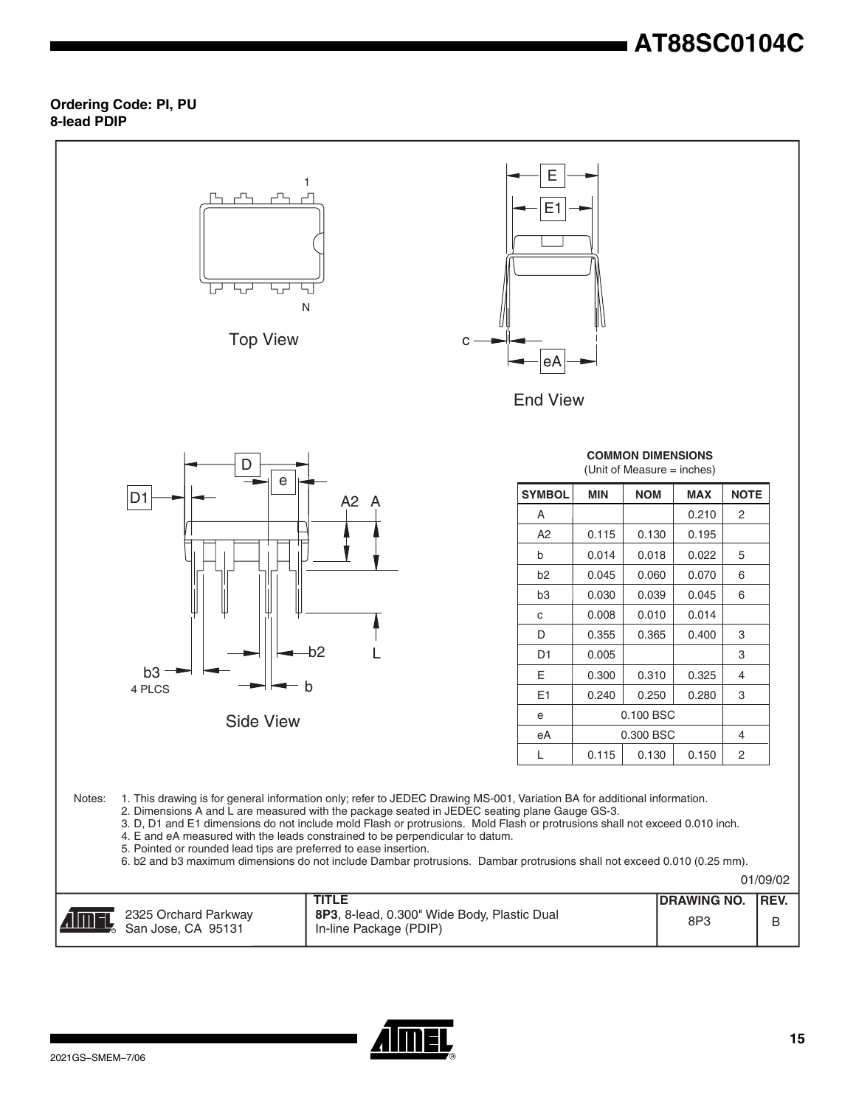# **AT88SC0104C**

## **Ordering Code: PI, PU 8-lead PDIP**

![](_page_14_Figure_2.jpeg)

![](_page_14_Picture_3.jpeg)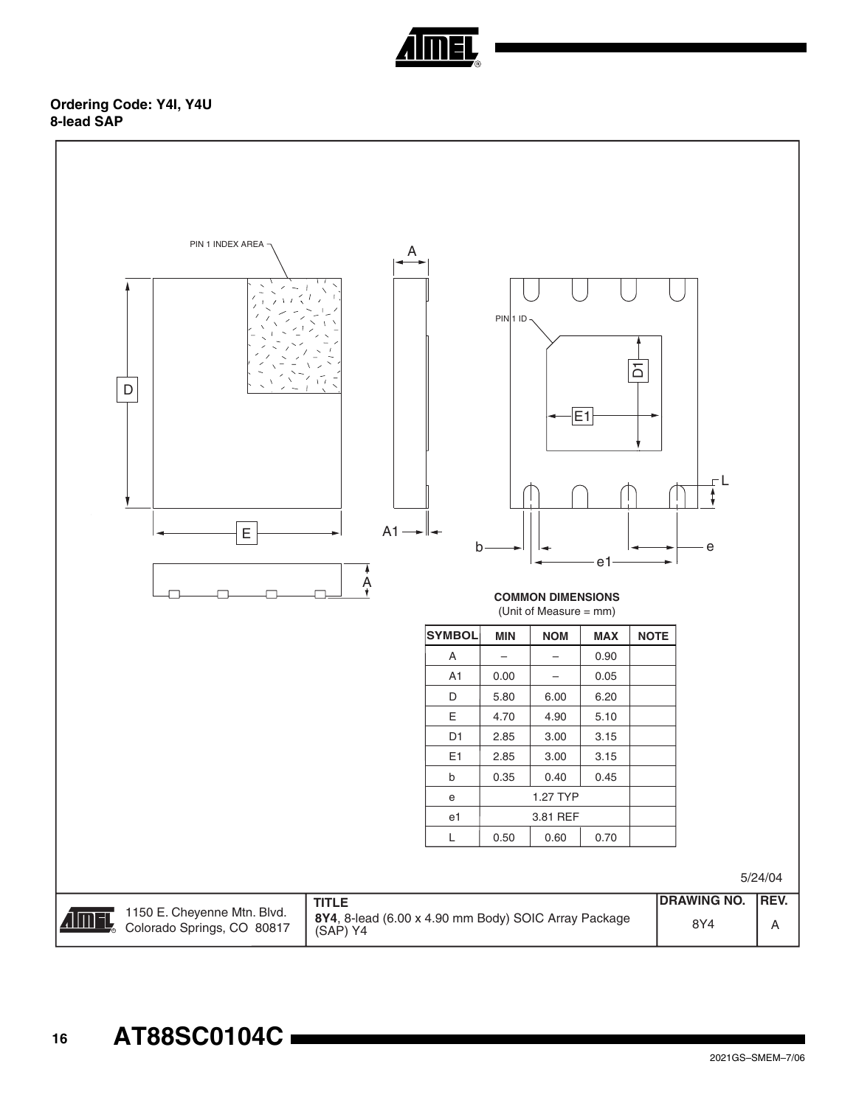![](_page_15_Picture_0.jpeg)

## **Ordering Code: Y4I, Y4U 8-lead SAP**

![](_page_15_Figure_2.jpeg)